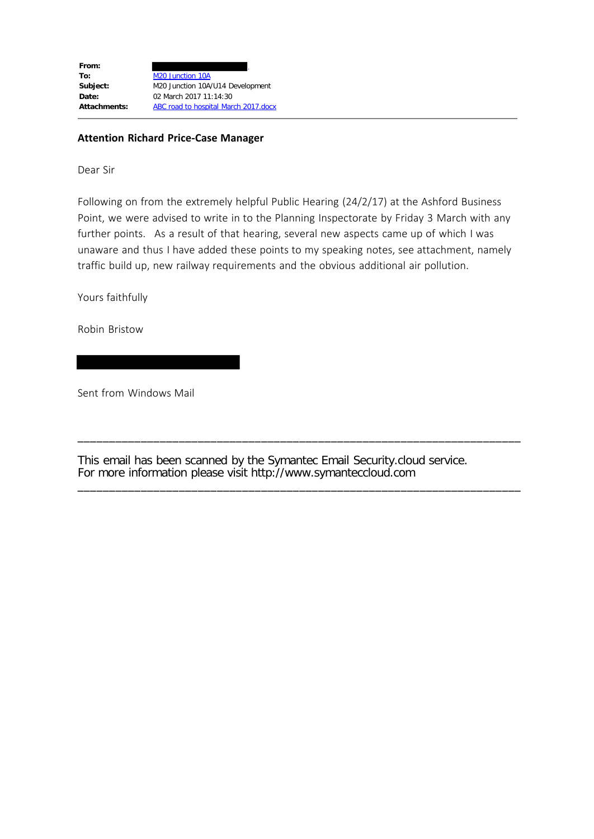| From:               |                                      |
|---------------------|--------------------------------------|
| To:                 | M <sub>20</sub> Junction 10A         |
| Subject:            | M20 Junction 10A/U14 Development     |
| Date:               | 02 March 2017 11:14:30               |
| <b>Attachments:</b> | ABC road to hospital March 2017.docx |
|                     |                                      |

### **Attention Richard Price-Case Manager**

Dear Sir

Following on from the extremely helpful Public Hearing (24/2/17) at the Ashford Business Point, we were advised to write in to the Planning Inspectorate by Friday 3 March with any further points. As a result of that hearing, several new aspects came up of which I was unaware and thus I have added these points to my speaking notes, see attachment, namely traffic build up, new railway requirements and the obvious additional air pollution.

Yours faithfully

Robin Bristow

Sent from Windows Mail

This email has been scanned by the Symantec Email Security.cloud service. For more information please visit http://www.symanteccloud.com \_\_\_\_\_\_\_\_\_\_\_\_\_\_\_\_\_\_\_\_\_\_\_\_\_\_\_\_\_\_\_\_\_\_\_\_\_\_\_\_\_\_\_\_\_\_\_\_\_\_\_\_\_\_\_\_\_\_\_\_\_\_\_\_\_\_\_\_\_\_

\_\_\_\_\_\_\_\_\_\_\_\_\_\_\_\_\_\_\_\_\_\_\_\_\_\_\_\_\_\_\_\_\_\_\_\_\_\_\_\_\_\_\_\_\_\_\_\_\_\_\_\_\_\_\_\_\_\_\_\_\_\_\_\_\_\_\_\_\_\_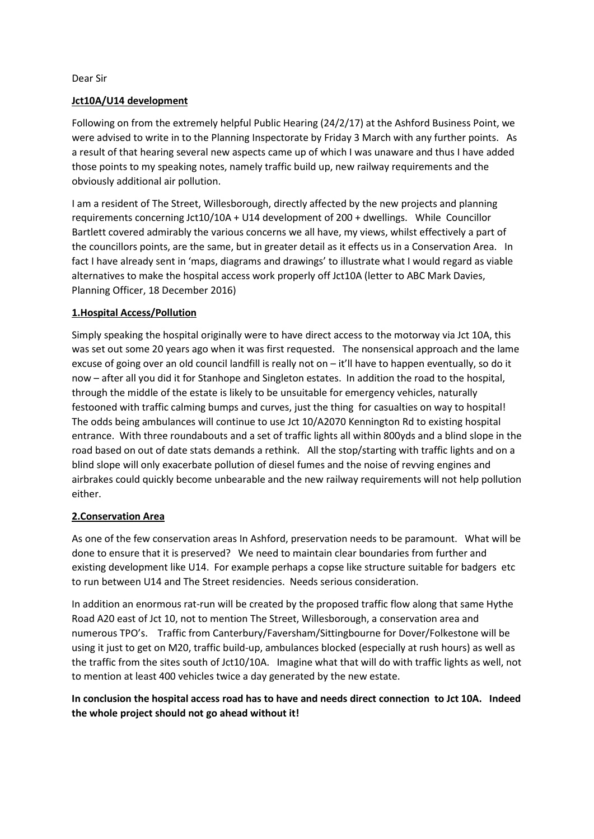Dear Sir

### **Jct10A/U14 development**

Following on from the extremely helpful Public Hearing (24/2/17) at the Ashford Business Point, we were advised to write in to the Planning Inspectorate by Friday 3 March with any further points. As a result of that hearing several new aspects came up of which I was unaware and thus I have added those points to my speaking notes, namely traffic build up, new railway requirements and the obviously additional air pollution.

I am a resident of The Street, Willesborough, directly affected by the new projects and planning requirements concerning Jct10/10A + U14 development of 200 + dwellings. While Councillor Bartlett covered admirably the various concerns we all have, my views, whilst effectively a part of the councillors points, are the same, but in greater detail as it effects us in a Conservation Area. In fact I have already sent in 'maps, diagrams and drawings' to illustrate what I would regard as viable alternatives to make the hospital access work properly off Jct10A (letter to ABC Mark Davies, Planning Officer, 18 December 2016)

## **1.Hospital Access/Pollution**

Simply speaking the hospital originally were to have direct access to the motorway via Jct 10A, this was set out some 20 years ago when it was first requested. The nonsensical approach and the lame excuse of going over an old council landfill is really not on – it'll have to happen eventually, so do it now – after all you did it for Stanhope and Singleton estates. In addition the road to the hospital, through the middle of the estate is likely to be unsuitable for emergency vehicles, naturally festooned with traffic calming bumps and curves, just the thing for casualties on way to hospital! The odds being ambulances will continue to use Jct 10/A2070 Kennington Rd to existing hospital entrance. With three roundabouts and a set of traffic lights all within 800yds and a blind slope in the road based on out of date stats demands a rethink. All the stop/starting with traffic lights and on a blind slope will only exacerbate pollution of diesel fumes and the noise of revving engines and airbrakes could quickly become unbearable and the new railway requirements will not help pollution either.

#### **2.Conservation Area**

As one of the few conservation areas In Ashford, preservation needs to be paramount. What will be done to ensure that it is preserved? We need to maintain clear boundaries from further and existing development like U14. For example perhaps a copse like structure suitable for badgers etc to run between U14 and The Street residencies. Needs serious consideration.

In addition an enormous rat-run will be created by the proposed traffic flow along that same Hythe Road A20 east of Jct 10, not to mention The Street, Willesborough, a conservation area and numerous TPO's. Traffic from Canterbury/Faversham/Sittingbourne for Dover/Folkestone will be using it just to get on M20, traffic build-up, ambulances blocked (especially at rush hours) as well as the traffic from the sites south of Jct10/10A. Imagine what that will do with traffic lights as well, not to mention at least 400 vehicles twice a day generated by the new estate.

# **In conclusion the hospital access road has to have and needs direct connection to Jct 10A. Indeed the whole project should not go ahead without it!**